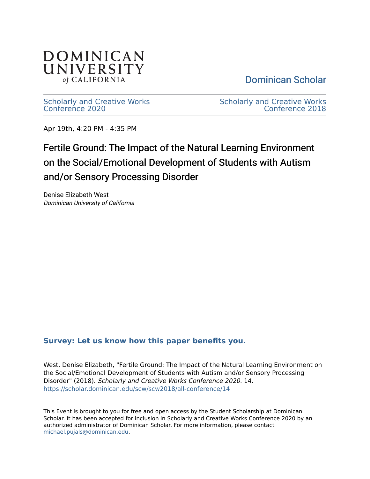

[Dominican Scholar](https://scholar.dominican.edu/) 

[Scholarly and Creative Works](https://scholar.dominican.edu/scw) [Conference 2020](https://scholar.dominican.edu/scw) 

[Scholarly and Creative Works](https://scholar.dominican.edu/scw/scw2018)  [Conference 2018](https://scholar.dominican.edu/scw/scw2018) 

Apr 19th, 4:20 PM - 4:35 PM

### Fertile Ground: The Impact of the Natural Learning Environment on the Social/Emotional Development of Students with Autism and/or Sensory Processing Disorder

Denise Elizabeth West Dominican University of California

#### **[Survey: Let us know how this paper benefits you.](https://dominican.libwizard.com/dominican-scholar-feedback)**

West, Denise Elizabeth, "Fertile Ground: The Impact of the Natural Learning Environment on the Social/Emotional Development of Students with Autism and/or Sensory Processing Disorder" (2018). Scholarly and Creative Works Conference 2020. 14. [https://scholar.dominican.edu/scw/scw2018/all-conference/14](https://scholar.dominican.edu/scw/scw2018/all-conference/14?utm_source=scholar.dominican.edu%2Fscw%2Fscw2018%2Fall-conference%2F14&utm_medium=PDF&utm_campaign=PDFCoverPages) 

This Event is brought to you for free and open access by the Student Scholarship at Dominican Scholar. It has been accepted for inclusion in Scholarly and Creative Works Conference 2020 by an authorized administrator of Dominican Scholar. For more information, please contact [michael.pujals@dominican.edu.](mailto:michael.pujals@dominican.edu)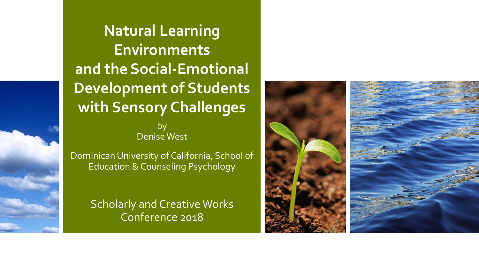by Denise West **Natural Learning Environments and the Social-Emotional Development of Students with Sensory Challenges**

Dominican University of California, School of Education & Counseling Psychology

> Scholarly and Creative Works Conference 2018

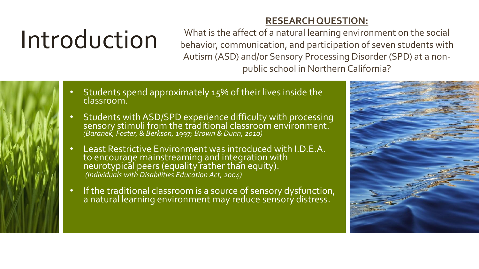## Introduction

**RESEARCH QUESTION:** What is the affect of a natural learning environment on the social behavior, communication, and participation of seven students with Autism (ASD) and/or Sensory Processing Disorder (SPD) at a non-

public school in Northern California?

- Students spend approximately 15% of their lives inside the classroom.
- Students with ASD/SPD experience difficulty with processing sensory stimuli from the traditional classroom environment. *(Baranek, Foster, & Berkson, 1997; Brown & Dunn, 2010)*
- Least Restrictive Environment was introduced with I.D.E.A. to encourage mainstreaming and integration with neurotypical peers (equality rather than equity). *(Individuals with Disabilities Education Act, 2004)*
- If the traditional classroom is a source of sensory dysfunction, a natural learning environment may reduce senśorý distress.

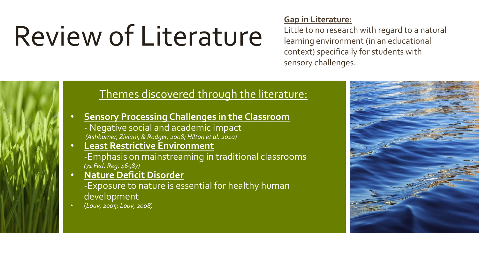## Review of Literature

#### **Gap in Literature:**

Little to no research with regard to a natural learning environment (in an educational context) specifically for students with sensory challenges.

### Themes discovered through the literature:

- **Sensory Processing Challenges in the Classroom**
	- Negative social and academic impact *(Ashburner, Ziviani, & Rodger, 2008; Hilton et al. 2010)*
- **Least Restrictive Environment** -Emphasis on mainstreaming in traditional classrooms *(71 Fed. Reg. 46587)*
- **Nature Deficit Disorder**  -Exposure to nature is essential for healthy human development
- (*Louv, 2005; Louv, 2008)*

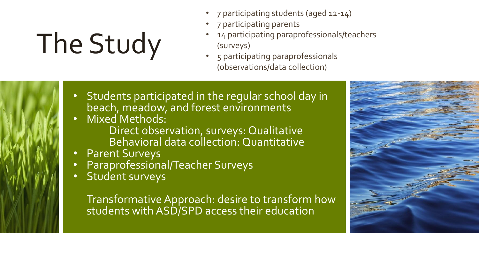# The Study

- 7 participating students (aged 12-14)
- 7 participating parents
- 14 participating paraprofessionals/teachers (surveys)
- 5 participating paraprofessionals (observations/data collection)
- Students participated in the regular school day in beach, meadow, and forest environments
- Mixed Methods: Direct observation, surveys: Qualitative Behavioral data collection: Quantitative
- Parent Surveys
- Paraprofessional/Teacher Surveys
- Student surveys

Transformative Approach: desire to transform how students with ASD/SPD access their education

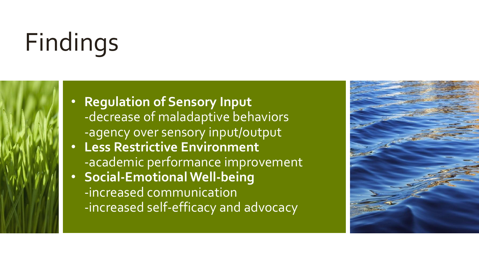## Findings

- **Regulation of Sensory Input** -decrease of maladaptive behaviors -agency over sensory input/output
- **Less Restrictive Environment** -academic performance improvement
- **Social-Emotional Well-being** -increased communication -increased self-efficacy and advocacy

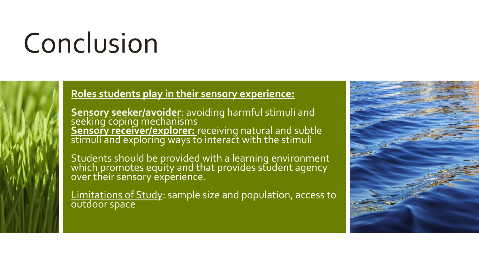## Conclusion



### **Roles students play in their sensory experience:**

**Sensory seeker/avoider**: avoiding harmful stimuli and seeking coping mechanisms **Sensory receiver/explorer:** receiving natural and subtle stimuli and exploring ways to interact with the stimuli

Students should be provided with a learning environment which promotes equity and that provides student agency over their sensory experience.

Limitations of Study: sample size and population, access to outdoor space